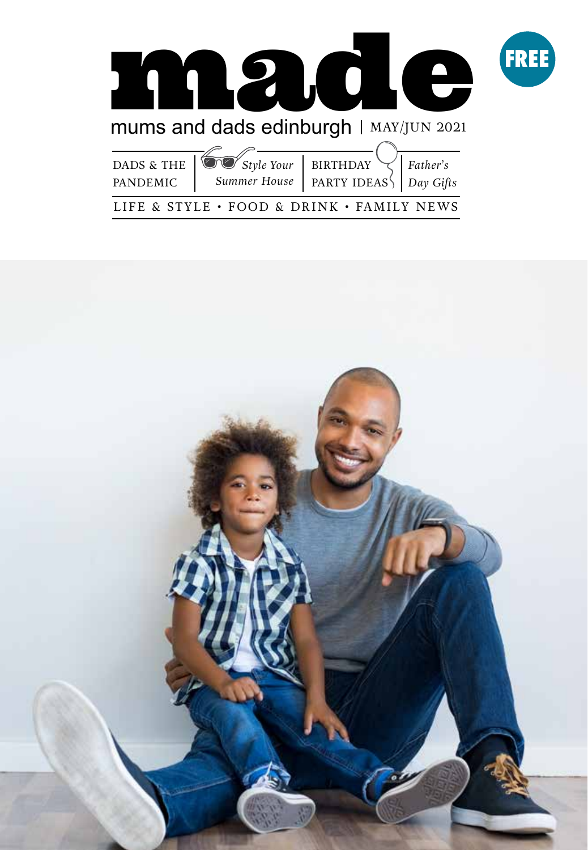

LIFE & STYLE • FOOD & DRINK • FAMILY NEWS

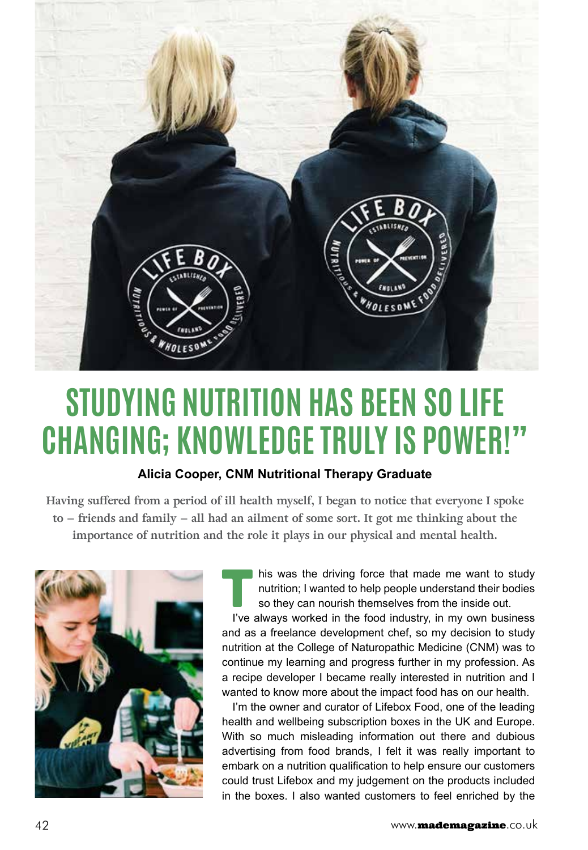

## **STUDYING NUTRITION HAS BEEN SO LIFE CHANGING; KNOWLEDGE TRULY IS POWER!"**

## **Alicia Cooper, CNM Nutritional Therapy Graduate**

**Having suffered from a period of ill health myself, I began to notice that everyone I spoke to – friends and family – all had an ailment of some sort. It got me thinking about the importance of nutrition and the role it plays in our physical and mental health.** 



his was the driving force that made me want to study nutrition; I wanted to help people understand their bodies so they can nourish themselves from the inside out. I've always worked in the food industry, in my own business

and as a freelance development chef, so my decision to study nutrition at the College of Naturopathic Medicine (CNM) was to continue my learning and progress further in my profession. As a recipe developer I became really interested in nutrition and I wanted to know more about the impact food has on our health.

I'm the owner and curator of Lifebox Food, one of the leading health and wellbeing subscription boxes in the UK and Europe. With so much misleading information out there and dubious advertising from food brands, I felt it was really important to embark on a nutrition qualification to help ensure our customers could trust Lifebox and my judgement on the products included in the boxes. I also wanted customers to feel enriched by the